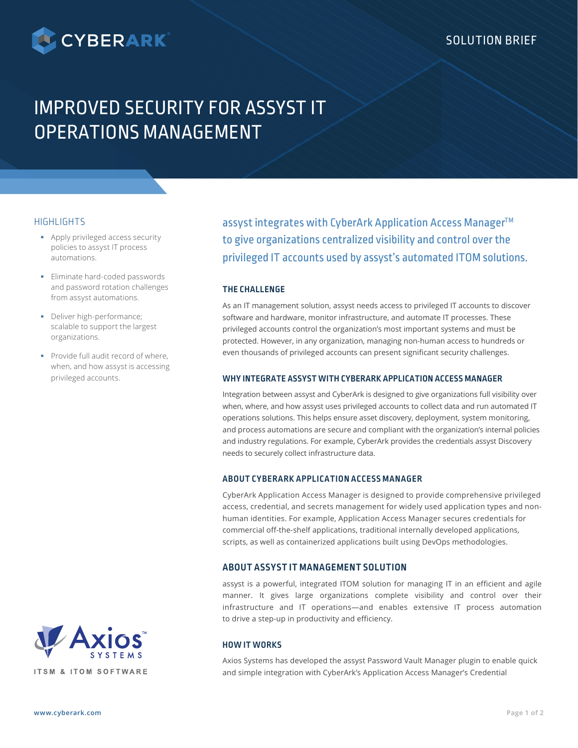

# IMPROVED SECURITY FOR ASSYST IT OPERATIONS MANAGEMENT

## **HIGHLIGHTS**

- **-** Apply privileged access security policies to assyst IT process automations.
- **Eliminate hard-coded passwords** and password rotation challenges from assyst automations.
- Deliver high-performance; scalable to support the largest organizations.
- **Provide full audit record of where,** when, and how assyst is accessing privileged accounts.

assyst integrates with CyberArk Application Access Manager™ to give organizations centralized visibility and control over the privileged IT accounts used by assyst's automated ITOM solutions.

## **THE CHALLENGE**

As an IT management solution, assyst needs access to privileged IT accounts to discover software and hardware, monitor infrastructure, and automate IT processes. These privileged accounts control the organization's most important systems and must be protected. However, in any organization, managing non-human access to hundreds or even thousands of privileged accounts can present significant security challenges.

## **WHY INTEGRATE ASSYST WITH CYBERARK APPLICATION ACCESS MANAGER**

Integration between assyst and CyberArk is designed to give organizations full visibility over when, where, and how assyst uses privileged accounts to collect data and run automated IT operations solutions. This helps ensure asset discovery, deployment, system monitoring, and process automations are secure and compliant with the organization's internal policies and industry regulations. For example, CyberArk provides the credentials assyst Discovery needs to securely collect infrastructure data.

## **ABOUT CYBERARK APPLICATION ACCESS MANAGER**

CyberArk Application Access Manager is designed to provide comprehensive privileged access, credential, and secrets management for widely used application types and nonhuman identities. For example, Application Access Manager secures credentials for commercial off-the-shelf applications, traditional internally developed applications, scripts, as well as containerized applications built using DevOps methodologies.

# **ABOUT ASSYST IT MANAGEMENT SOLUTION**

assyst is a powerful, integrated ITOM solution for managing IT in an efficient and agile manner. It gives large organizations complete visibility and control over their infrastructure and IT operations—and enables extensive IT process automation to drive a step-up in productivity and efficiency.

# **HOW IT WORKS**

Axios Systems has developed the assyst Password Vault Manager plugin to enable quick and simple integration with CyberArk's Application Access Manager's Credential